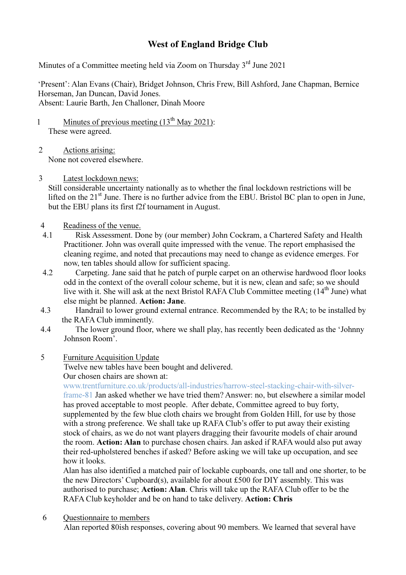## West of England Bridge Club

Minutes of a Committee meeting held via Zoom on Thursday 3<sup>rd</sup> June 2021

'Present': Alan Evans (Chair), Bridget Johnson, Chris Frew, Bill Ashford, Jane Chapman, Bernice Horseman, Jan Duncan, David Jones. Absent: Laurie Barth, Jen Challoner, Dinah Moore

- 1 Minutes of previous meeting  $(13<sup>th</sup>$  May 2021): These were agreed.
- 2 Actions arising: None not covered elsewhere.
- 3 Latest lockdown news:

Still considerable uncertainty nationally as to whether the final lockdown restrictions will be lifted on the 21<sup>st</sup> June. There is no further advice from the EBU. Bristol BC plan to open in June, but the EBU plans its first f2f tournament in August.

- 4 Readiness of the venue.
- 4.1 Risk Assessment. Done by (our member) John Cockram, a Chartered Safety and Health Practitioner. John was overall quite impressed with the venue. The report emphasised the cleaning regime, and noted that precautions may need to change as evidence emerges. For now, ten tables should allow for sufficient spacing.
- 4.2 Carpeting. Jane said that he patch of purple carpet on an otherwise hardwood floor looks odd in the context of the overall colour scheme, but it is new, clean and safe; so we should live with it. She will ask at the next Bristol RAFA Club Committee meeting (14<sup>th</sup> June) what else might be planned. Action: Jane.
- 4.3 Handrail to lower ground external entrance. Recommended by the RA; to be installed by the RAFA Club imminently.
- 4.4 The lower ground floor, where we shall play, has recently been dedicated as the 'Johnny Johnson Room'.
- 5 Furniture Acquisition Update

Twelve new tables have been bought and delivered. Our chosen chairs are shown at:

www.trentfurniture.co.uk/products/all-industries/harrow-steel-stacking-chair-with-silverframe-81 Jan asked whether we have tried them? Answer: no, but elsewhere a similar model has proved acceptable to most people. After debate, Committee agreed to buy forty, supplemented by the few blue cloth chairs we brought from Golden Hill, for use by those with a strong preference. We shall take up RAFA Club's offer to put away their existing stock of chairs, as we do not want players dragging their favourite models of chair around the room. Action: Alan to purchase chosen chairs. Jan asked if RAFA would also put away their red-upholstered benches if asked? Before asking we will take up occupation, and see how it looks.

Alan has also identified a matched pair of lockable cupboards, one tall and one shorter, to be the new Directors' Cupboard(s), available for about £500 for DIY assembly. This was authorised to purchase; Action: Alan. Chris will take up the RAFA Club offer to be the RAFA Club keyholder and be on hand to take delivery. Action: Chris

6 Questionnaire to members

Alan reported 80ish responses, covering about 90 members. We learned that several have